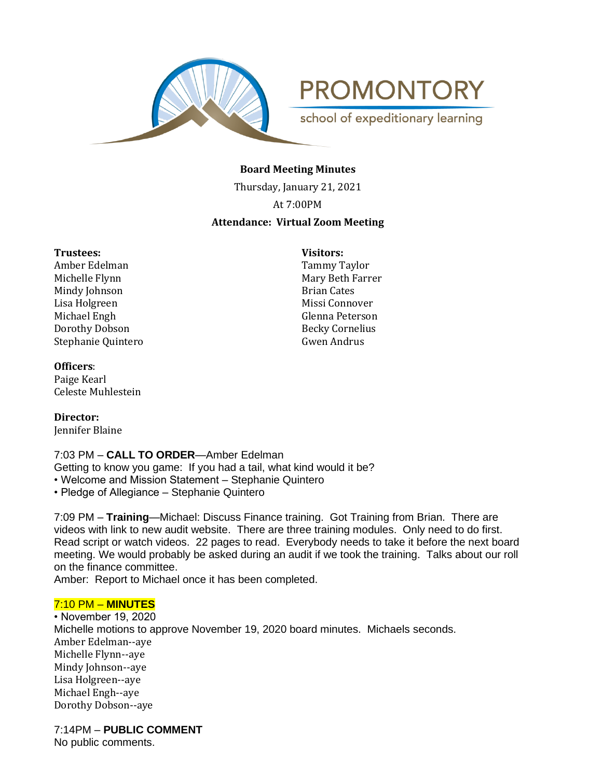

**PROMONTORY** school of expeditionary learning

**Board Meeting Minutes**

Thursday, January 21, 2021

At 7:00PM

# **Attendance: Virtual Zoom Meeting**

#### **Trustees: Visitors:**

Amber Edelman Tammy Taylor Michelle Flynn Mary Beth Farrer<br>Mindy Iohnson Mindy Iohnson Brian Cates Mindy Johnson Lisa Holgreen Missi Connover Michael Engh Glenna Peterson Dorothy Dobson Becky Cornelius Stephanie Quintero Gwen Andrus

# **Officers**:

Paige Kearl Celeste Muhlestein

**Director:**  Jennifer Blaine

# 7:03 PM – **CALL TO ORDER**—Amber Edelman

Getting to know you game: If you had a tail, what kind would it be?

• Welcome and Mission Statement – Stephanie Quintero

• Pledge of Allegiance – Stephanie Quintero

7:09 PM – **Training**—Michael: Discuss Finance training. Got Training from Brian. There are videos with link to new audit website. There are three training modules. Only need to do first. Read script or watch videos. 22 pages to read. Everybody needs to take it before the next board meeting. We would probably be asked during an audit if we took the training. Talks about our roll on the finance committee.

Amber: Report to Michael once it has been completed.

# 7:10 PM – **MINUTES**

• November 19, 2020 Michelle motions to approve November 19, 2020 board minutes. Michaels seconds. Amber Edelman--aye Michelle Flynn--aye Mindy Johnson--aye Lisa Holgreen--aye Michael Engh--aye Dorothy Dobson--aye

7:14PM – **PUBLIC COMMENT**

No public comments.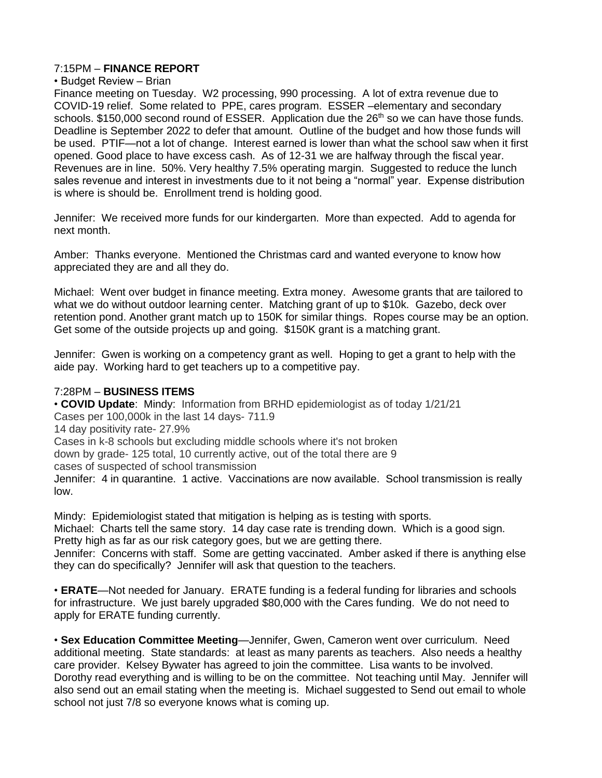#### 7:15PM – **FINANCE REPORT**

## • Budget Review – Brian

Finance meeting on Tuesday. W2 processing, 990 processing. A lot of extra revenue due to COVID-19 relief. Some related to PPE, cares program. ESSER –elementary and secondary schools. \$150,000 second round of ESSER. Application due the  $26<sup>th</sup>$  so we can have those funds. Deadline is September 2022 to defer that amount. Outline of the budget and how those funds will be used. PTIF—not a lot of change. Interest earned is lower than what the school saw when it first opened. Good place to have excess cash. As of 12-31 we are halfway through the fiscal year. Revenues are in line. 50%. Very healthy 7.5% operating margin. Suggested to reduce the lunch sales revenue and interest in investments due to it not being a "normal" year. Expense distribution is where is should be. Enrollment trend is holding good.

Jennifer: We received more funds for our kindergarten. More than expected. Add to agenda for next month.

Amber: Thanks everyone. Mentioned the Christmas card and wanted everyone to know how appreciated they are and all they do.

Michael: Went over budget in finance meeting. Extra money. Awesome grants that are tailored to what we do without outdoor learning center. Matching grant of up to \$10k. Gazebo, deck over retention pond. Another grant match up to 150K for similar things. Ropes course may be an option. Get some of the outside projects up and going. \$150K grant is a matching grant.

Jennifer: Gwen is working on a competency grant as well. Hoping to get a grant to help with the aide pay. Working hard to get teachers up to a competitive pay.

#### 7:28PM – **BUSINESS ITEMS**

• **COVID Update**: Mindy: Information from BRHD epidemiologist as of today 1/21/21 Cases per 100,000k in the last 14 days- 711.9 14 day positivity rate- 27.9% Cases in k-8 schools but excluding middle schools where it's not broken down by grade- 125 total, 10 currently active, out of the total there are 9 cases of suspected of school transmission Jennifer: 4 in quarantine. 1 active. Vaccinations are now available. School transmission is really low.

Mindy: Epidemiologist stated that mitigation is helping as is testing with sports. Michael: Charts tell the same story. 14 day case rate is trending down. Which is a good sign. Pretty high as far as our risk category goes, but we are getting there.

Jennifer: Concerns with staff. Some are getting vaccinated. Amber asked if there is anything else they can do specifically? Jennifer will ask that question to the teachers.

• **ERATE**—Not needed for January. ERATE funding is a federal funding for libraries and schools for infrastructure. We just barely upgraded \$80,000 with the Cares funding. We do not need to apply for ERATE funding currently.

• **Sex Education Committee Meeting**—Jennifer, Gwen, Cameron went over curriculum. Need additional meeting. State standards: at least as many parents as teachers. Also needs a healthy care provider. Kelsey Bywater has agreed to join the committee. Lisa wants to be involved. Dorothy read everything and is willing to be on the committee. Not teaching until May. Jennifer will also send out an email stating when the meeting is. Michael suggested to Send out email to whole school not just 7/8 so everyone knows what is coming up.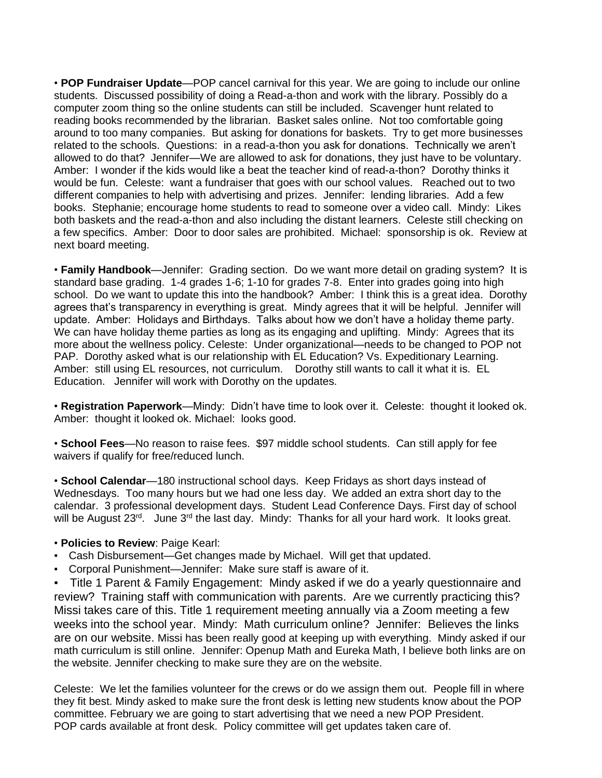• **POP Fundraiser Update**—POP cancel carnival for this year. We are going to include our online students. Discussed possibility of doing a Read-a-thon and work with the library. Possibly do a computer zoom thing so the online students can still be included. Scavenger hunt related to reading books recommended by the librarian. Basket sales online. Not too comfortable going around to too many companies. But asking for donations for baskets. Try to get more businesses related to the schools. Questions: in a read-a-thon you ask for donations. Technically we aren't allowed to do that? Jennifer—We are allowed to ask for donations, they just have to be voluntary. Amber: I wonder if the kids would like a beat the teacher kind of read-a-thon? Dorothy thinks it would be fun. Celeste: want a fundraiser that goes with our school values. Reached out to two different companies to help with advertising and prizes. Jennifer: lending libraries. Add a few books. Stephanie; encourage home students to read to someone over a video call. Mindy: Likes both baskets and the read-a-thon and also including the distant learners. Celeste still checking on a few specifics. Amber: Door to door sales are prohibited. Michael: sponsorship is ok. Review at next board meeting.

• **Family Handbook**—Jennifer: Grading section. Do we want more detail on grading system? It is standard base grading. 1-4 grades 1-6; 1-10 for grades 7-8. Enter into grades going into high school. Do we want to update this into the handbook? Amber: I think this is a great idea. Dorothy agrees that's transparency in everything is great. Mindy agrees that it will be helpful. Jennifer will update. Amber: Holidays and Birthdays. Talks about how we don't have a holiday theme party. We can have holiday theme parties as long as its engaging and uplifting. Mindy: Agrees that its more about the wellness policy. Celeste: Under organizational—needs to be changed to POP not PAP. Dorothy asked what is our relationship with EL Education? Vs. Expeditionary Learning. Amber: still using EL resources, not curriculum. Dorothy still wants to call it what it is. EL Education. Jennifer will work with Dorothy on the updates.

• **Registration Paperwork**—Mindy: Didn't have time to look over it. Celeste: thought it looked ok. Amber: thought it looked ok. Michael: looks good.

• **School Fees**—No reason to raise fees. \$97 middle school students. Can still apply for fee waivers if qualify for free/reduced lunch.

• **School Calendar**—180 instructional school days. Keep Fridays as short days instead of Wednesdays. Too many hours but we had one less day. We added an extra short day to the calendar. 3 professional development days. Student Lead Conference Days. First day of school will be August 23<sup>rd</sup>. June 3<sup>rd</sup> the last day. Mindy: Thanks for all your hard work. It looks great.

#### • **Policies to Review**: Paige Kearl:

- Cash Disbursement—Get changes made by Michael. Will get that updated.
- Corporal Punishment—Jennifer: Make sure staff is aware of it.

Title 1 Parent & Family Engagement: Mindy asked if we do a yearly questionnaire and review? Training staff with communication with parents. Are we currently practicing this? Missi takes care of this. Title 1 requirement meeting annually via a Zoom meeting a few weeks into the school year. Mindy: Math curriculum online? Jennifer: Believes the links are on our website. Missi has been really good at keeping up with everything. Mindy asked if our math curriculum is still online. Jennifer: Openup Math and Eureka Math, I believe both links are on the website. Jennifer checking to make sure they are on the website.

Celeste: We let the families volunteer for the crews or do we assign them out. People fill in where they fit best. Mindy asked to make sure the front desk is letting new students know about the POP committee. February we are going to start advertising that we need a new POP President. POP cards available at front desk. Policy committee will get updates taken care of.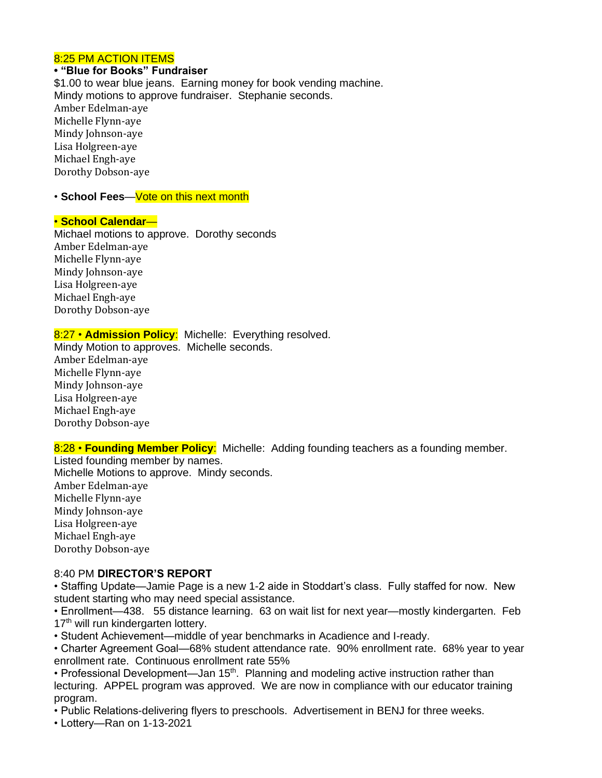#### 8:25 PM ACTION ITEMS

# **• "Blue for Books" Fundraiser**

\$1.00 to wear blue jeans. Earning money for book vending machine. Mindy motions to approve fundraiser. Stephanie seconds. Amber Edelman-aye Michelle Flynn-aye Mindy Johnson-aye Lisa Holgreen-aye Michael Engh-aye Dorothy Dobson-aye

#### • **School Fees**—Vote on this next month

## • **School Calendar**—

Michael motions to approve. Dorothy seconds Amber Edelman-aye Michelle Flynn-aye Mindy Johnson-aye Lisa Holgreen-aye Michael Engh-aye Dorothy Dobson-aye

## 8:27 • **Admission Policy**: Michelle: Everything resolved.

Mindy Motion to approves. Michelle seconds. Amber Edelman-aye Michelle Flynn-aye Mindy Johnson-aye Lisa Holgreen-aye Michael Engh-aye Dorothy Dobson-aye

8:28 • **Founding Member Policy**: Michelle: Adding founding teachers as a founding member.

Listed founding member by names.

Michelle Motions to approve. Mindy seconds.

Amber Edelman-aye Michelle Flynn-aye Mindy Johnson-aye Lisa Holgreen-aye Michael Engh-aye Dorothy Dobson-aye

#### 8:40 PM **DIRECTOR'S REPORT**

• Staffing Update—Jamie Page is a new 1-2 aide in Stoddart's class. Fully staffed for now. New student starting who may need special assistance.

• Enrollment—438. 55 distance learning. 63 on wait list for next year—mostly kindergarten. Feb 17<sup>th</sup> will run kindergarten lottery.

• Student Achievement—middle of year benchmarks in Acadience and I-ready.

• Charter Agreement Goal—68% student attendance rate. 90% enrollment rate. 68% year to year enrollment rate. Continuous enrollment rate 55%

• Professional Development—Jan 15<sup>th</sup>. Planning and modeling active instruction rather than lecturing. APPEL program was approved. We are now in compliance with our educator training program.

• Public Relations-delivering flyers to preschools. Advertisement in BENJ for three weeks.

• Lottery—Ran on 1-13-2021